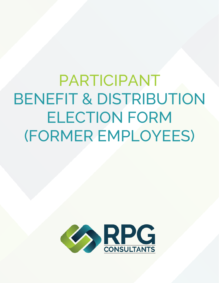PARTICIPANT BENEFIT & DISTRIBUTION ELECTION FORM (FORMER EMPLOYEES)

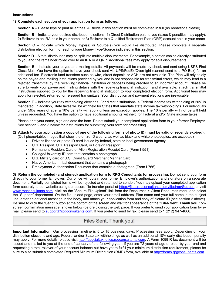### **Instructions:**

### **1) Complete each section of your application form as follows:**

**Section A** – Please type or print all entries. All fields in this section must be completed in full (no redactions please).

**Section B** – Indicate your desired distribution elections: 1) Direct Distribution paid to you (taxes & penalties may apply), 2) Rollover to an IRA held in your name, or 3) Rollover to a Qualified Retirement Plan (QRP) account held in your name.

**Section C** – Indicate which Money Type(s) or Source(s) you would like distributed. Please complete a separate distribution election form for each unique Money Type/Source indicated in this section.

**Section D** – A total distribution may be split into multiple disbursements. For example, a portion can be directly distributed to you and the remainder rolled over to an IRA or a QRP. Additional fees may apply for split disbursements.

**Section E** – Indicate your payee and mailing details. All payments will be made by check and sent using USPS First Class Mail. You have the option to have your check sent via UPS/FedEx/Overnight (cannot send to a PO Box) for an additional fee. Electronic fund transfers such as wire, direct deposit, or ACH are not available. The Plan will rely solely on the payee and mailing instructions provided by you and is not responsible for transmittal errors, which may lead to a rejected transmittal by the receiving financial institution or deposits being credited to an incorrect account. Please be sure to verify your payee and mailing details with the receiving financial institution, and if available, attach transmittal instructions supplied to you by the receiving financial institution to your completed election form. Additional fees may apply for rejected, returned, or reissued transmittals. Your distribution and payment elections are irrevocable.

**Section F** – Indicate your tax withholding elections. For direct distributions, a Federal income tax withholding of 20% is mandated. In addition, State taxes will be withheld for States that mandate state income tax withholdings. For individuals under 59½ years of age, a 10% penalty will apply unless an exception applies. The 10% penalty will not be withheld unless requested. You have the option to have additional amounts withheld for Federal and/or State income taxes.

Please print your name, sign and date the form. Do not submit your completed application form to your former Employer. See section 2 and 3 below for instructions for submitting your form for processing.

### **2) Attach to your application a copy of one of the following forms of photo ID (must be valid or recently expired):**  (Cell phone/tablet images that show the entire ID clearly, as well as black and white photocopies, are accepted)

Driver's license or photo ID card issued by federal, state or local government agency

- U.S. Passport, U.S. Passport Card, or Foreign Passport
- Permanent Resident Card or Alien Registration Receipt Card (Form I-551)
- College/University ID card that contains a photograph
- U.S. Military card or U.S. Coast Guard Merchant Mariner Card
- Native American tribal document that contains a photograph
- Employment Authorization Document that contains a photograph (Form I-766)

**3) Return the completed (and signed) application form to RPG Consultants for processing**. Do not send your form directly to your former Employer. Our office will obtain your former Employer's authorization and signature on a separate document. Partially completed forms will be rejected and returned to sender. You may upload your completed application form securely to our website using our secure file transfer portal at https://files.rpgconsultants.com/filedrop/Support or visit www.rpgconsultants.com, click on the "Secure File Upload" link from the Resources > Client Resources menu and select the "Support" department. On the file upload page, enter your email address, Plan name and your full name in the subject line, enter an optional message in the body, and attach your application form and copy of picture ID (see section 2 above). Be sure to click the "Send" button at the bottom of the screen and wait for appearance of the "**Files Sent, Thank you!**" onscreen confirmation message (shown below) before closing the web page. If you prefer to send your application form by email, please send to support@rpgconsultants.com. If you prefer to send by fax, please send to 1 (212) 947-4866.

# Files Sent, Thank you!

**Important Information:** Our processing timeline is 5 to 15 business days. Processing fees apply. Depending on your distribution elections and age, Federal and/or State tax withholdings as well as an additional 10% early-distribution penalty may apply. For more details, please visit http://specialtaxnotice.rpgconsultants.com. A Form 1099-R tax document will be issued and mailed to you at the end of January of the following year. If you are 72 years of age or older by year-end and requesting a total rollover of your account balance but have yet to fulfill your minimum distribution requirement, please be sure to also submit a completed Required Minimum Distribution (RMD) form, available at http://forms.rpgconsultants.com